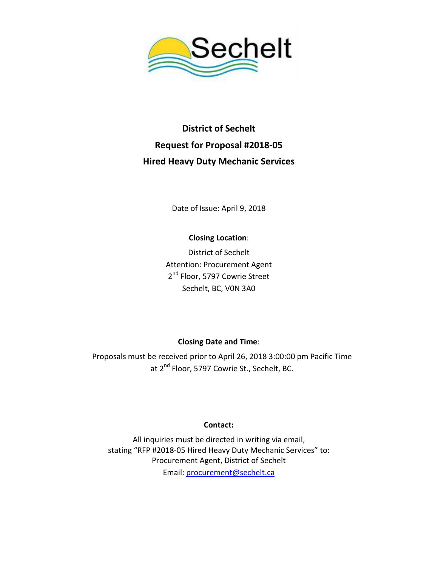

# **District of Sechelt Request for Proposal #2018-05 Hired Heavy Duty Mechanic Services**

Date of Issue: April 9, 2018

### **Closing Location**:

District of Sechelt Attention: Procurement Agent 2<sup>nd</sup> Floor, 5797 Cowrie Street Sechelt, BC, V0N 3A0

### **Closing Date and Time**:

Proposals must be received prior to April 26, 2018 3:00:00 pm Pacific Time at 2<sup>nd</sup> Floor, 5797 Cowrie St., Sechelt, BC.

### **Contact:**

All inquiries must be directed in writing via email, stating "RFP #2018-05 Hired Heavy Duty Mechanic Services" to: Procurement Agent, District of Sechelt Email: [procurement@sechelt.ca](mailto:procurement@sechelt.ca)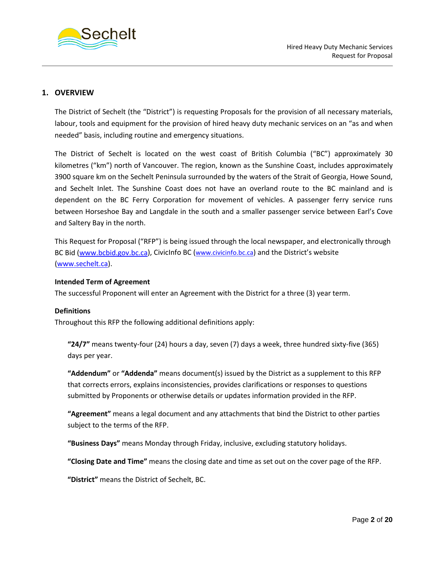

#### **1. OVERVIEW**

The District of Sechelt (the "District") is requesting Proposals for the provision of all necessary materials, labour, tools and equipment for the provision of hired heavy duty mechanic services on an "as and when needed" basis, including routine and emergency situations.

The District of Sechelt is located on the west coast of British Columbia ("BC") approximately 30 kilometres ("km") north of Vancouver. The region, known as the Sunshine Coast, includes approximately 3900 square km on the Sechelt Peninsula surrounded by the waters of the Strait of Georgia, Howe Sound, and Sechelt Inlet. The Sunshine Coast does not have an overland route to the BC mainland and is dependent on the BC Ferry Corporation for movement of vehicles. A passenger ferry service runs between Horseshoe Bay and Langdale in the south and a smaller passenger service between Earl's Cove and Saltery Bay in the north.

This Request for Proposal ("RFP") is being issued through the local newspaper, and electronically through BC Bid [\(www.bcbid.gov.bc.ca\)](http://www.bcbid.gov.bc.ca/), CivicInfo BC (www.civicinfo.bc.ca) and the District's website [\(www.sechelt.ca\)](http://www.sechelt.ca/).

#### **Intended Term of Agreement**

The successful Proponent will enter an Agreement with the District for a three (3) year term.

#### **Definitions**

Throughout this RFP the following additional definitions apply:

**"24/7"** means twenty-four (24) hours a day, seven (7) days a week, three hundred sixty-five (365) days per year.

**"Addendum"** or **"Addenda"** means document(s) issued by the District as a supplement to this RFP that corrects errors, explains inconsistencies, provides clarifications or responses to questions submitted by Proponents or otherwise details or updates information provided in the RFP.

**"Agreement"** means a legal document and any attachments that bind the District to other parties subject to the terms of the RFP.

**"Business Days"** means Monday through Friday, inclusive, excluding statutory holidays.

**"Closing Date and Time"** means the closing date and time as set out on the cover page of the RFP.

**"District"** means the District of Sechelt, BC.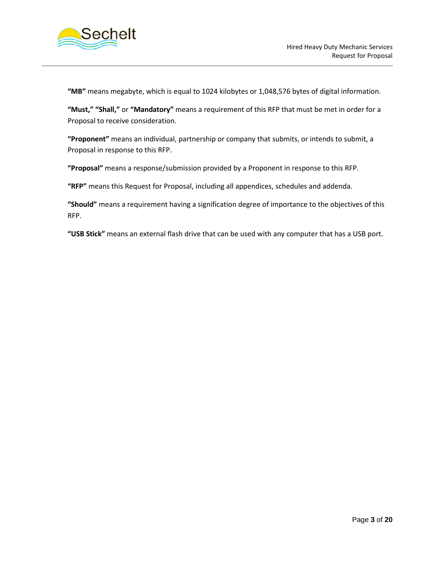

**"MB"** means megabyte, which is equal to 1024 kilobytes or 1,048,576 bytes of digital information.

**"Must," "Shall,"** or **"Mandatory"** means a requirement of this RFP that must be met in order for a Proposal to receive consideration.

**"Proponent"** means an individual, partnership or company that submits, or intends to submit, a Proposal in response to this RFP.

**"Proposal"** means a response/submission provided by a Proponent in response to this RFP.

**"RFP"** means this Request for Proposal, including all appendices, schedules and addenda.

**"Should"** means a requirement having a signification degree of importance to the objectives of this RFP.

**"USB Stick"** means an external flash drive that can be used with any computer that has a USB port.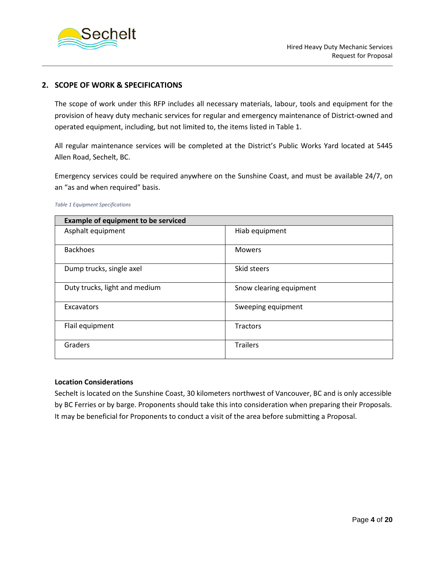

#### **2. SCOPE OF WORK & SPECIFICATIONS**

The scope of work under this RFP includes all necessary materials, labour, tools and equipment for the provision of heavy duty mechanic services for regular and emergency maintenance of District-owned and operated equipment, including, but not limited to, the items listed in Table 1.

All regular maintenance services will be completed at the District's Public Works Yard located at 5445 Allen Road, Sechelt, BC.

Emergency services could be required anywhere on the Sunshine Coast, and must be available 24/7, on an "as and when required" basis.

| <b>Example of equipment to be serviced</b> |                         |  |
|--------------------------------------------|-------------------------|--|
| Asphalt equipment                          | Hiab equipment          |  |
| <b>Backhoes</b>                            | <b>Mowers</b>           |  |
| Dump trucks, single axel                   | Skid steers             |  |
| Duty trucks, light and medium              | Snow clearing equipment |  |
| Excavators                                 | Sweeping equipment      |  |
| Flail equipment                            | <b>Tractors</b>         |  |
| Graders                                    | <b>Trailers</b>         |  |

#### *Table 1 Equipment Specifications*

#### **Location Considerations**

Sechelt is located on the Sunshine Coast, 30 kilometers northwest of Vancouver, BC and is only accessible by BC Ferries or by barge. Proponents should take this into consideration when preparing their Proposals. It may be beneficial for Proponents to conduct a visit of the area before submitting a Proposal.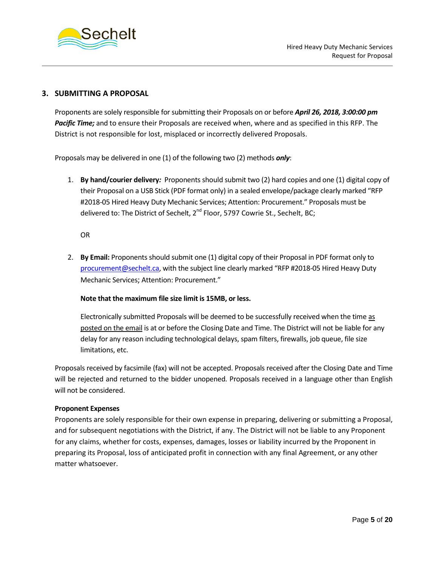

#### **3. SUBMITTING A PROPOSAL**

Proponents are solely responsible for submitting their Proposals on or before *April 26, 2018, 3:00:00 pm Pacific Time;* and to ensure their Proposals are received when, where and as specified in this RFP. The District is not responsible for lost, misplaced or incorrectly delivered Proposals.

Proposals may be delivered in one (1) of the following two (2) methods *only*:

1. **By hand/courier delivery***:* Proponents should submit two (2) hard copies and one (1) digital copy of their Proposal on a USB Stick (PDF format only) in a sealed envelope/package clearly marked "RFP #2018-05 Hired Heavy Duty Mechanic Services; Attention: Procurement." Proposals must be delivered to: The District of Sechelt,  $2^{nd}$  Floor, 5797 Cowrie St., Sechelt, BC;

OR

2. **By Email:** Proponents should submit one (1) digital copy of their Proposal in PDF format only to [procurement@sechelt.ca,](mailto:procurement@sechelt.ca) with the subject line clearly marked "RFP #2018-05 Hired Heavy Duty Mechanic Services; Attention: Procurement."

#### **Note that the maximum file size limit is 15MB, or less.**

Electronically submitted Proposals will be deemed to be successfully received when the time as posted on the email is at or before the Closing Date and Time. The District will not be liable for any delay for any reason including technological delays, spam filters, firewalls, job queue, file size limitations, etc.

Proposals received by facsimile (fax) will not be accepted. Proposals received after the Closing Date and Time will be rejected and returned to the bidder unopened. Proposals received in a language other than English will not be considered.

#### **Proponent Expenses**

Proponents are solely responsible for their own expense in preparing, delivering or submitting a Proposal, and for subsequent negotiations with the District, if any. The District will not be liable to any Proponent for any claims, whether for costs, expenses, damages, losses or liability incurred by the Proponent in preparing its Proposal, loss of anticipated profit in connection with any final Agreement, or any other matter whatsoever.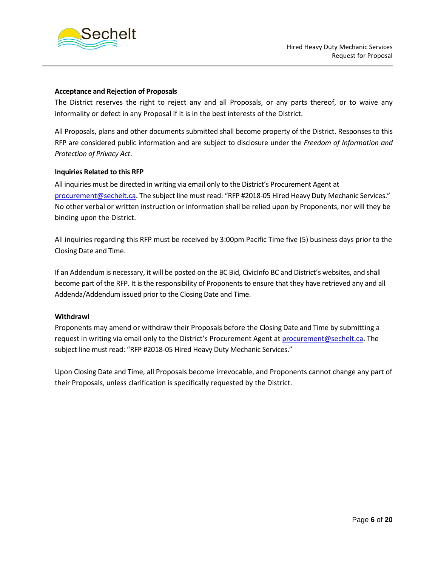

#### **Acceptance and Rejection of Proposals**

The District reserves the right to reject any and all Proposals, or any parts thereof, or to waive any informality or defect in any Proposal if it is in the best interests of the District.

All Proposals, plans and other documents submitted shall become property of the District. Responses to this RFP are considered public information and are subject to disclosure under the *Freedom of Information and Protection of Privacy Act*.

#### **Inquiries Related to this RFP**

All inquiries must be directed in writing via email only to the District's Procurement Agent at [procurement@sechelt.ca.](mailto:procurement@sechelt.ca) The subject line must read: "RFP #2018-05 Hired Heavy Duty Mechanic Services." No other verbal or written instruction or information shall be relied upon by Proponents, nor will they be binding upon the District.

All inquiries regarding this RFP must be received by 3:00pm Pacific Time five (5) business days prior to the Closing Date and Time.

If an Addendum is necessary, it will be posted on the BC Bid, CivicInfo BC and District's websites, and shall become part of the RFP. It is the responsibility of Proponents to ensure that they have retrieved any and all Addenda/Addendum issued prior to the Closing Date and Time.

#### **Withdrawl**

Proponents may amend or withdraw their Proposals before the Closing Date and Time by submitting a request in writing via email only to the District's Procurement Agent at **procurement@sechelt.ca**. The subject line must read: "RFP #2018-05 Hired Heavy Duty Mechanic Services."

Upon Closing Date and Time, all Proposals become irrevocable, and Proponents cannot change any part of their Proposals, unless clarification is specifically requested by the District.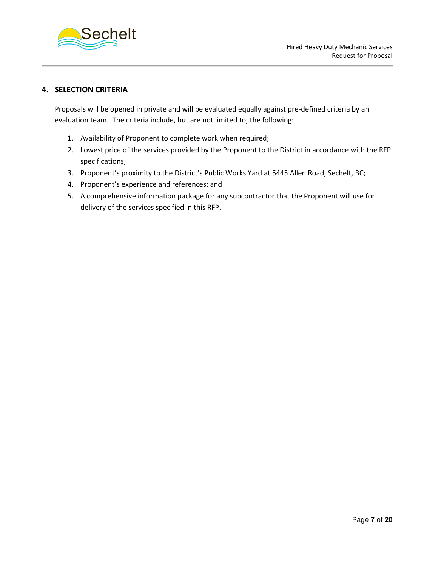

#### **4. SELECTION CRITERIA**

Proposals will be opened in private and will be evaluated equally against pre-defined criteria by an evaluation team. The criteria include, but are not limited to, the following:

- 1. Availability of Proponent to complete work when required;
- 2. Lowest price of the services provided by the Proponent to the District in accordance with the RFP specifications;
- 3. Proponent's proximity to the District's Public Works Yard at 5445 Allen Road, Sechelt, BC;
- 4. Proponent's experience and references; and
- 5. A comprehensive information package for any subcontractor that the Proponent will use for delivery of the services specified in this RFP.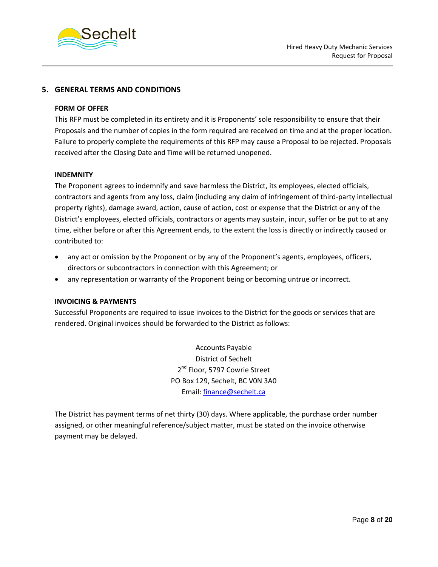

#### **5. GENERAL TERMS AND CONDITIONS**

#### **FORM OF OFFER**

This RFP must be completed in its entirety and it is Proponents' sole responsibility to ensure that their Proposals and the number of copies in the form required are received on time and at the proper location. Failure to properly complete the requirements of this RFP may cause a Proposal to be rejected. Proposals received after the Closing Date and Time will be returned unopened.

#### **INDEMNITY**

The Proponent agrees to indemnify and save harmless the District, its employees, elected officials, contractors and agents from any loss, claim (including any claim of infringement of third-party intellectual property rights), damage award, action, cause of action, cost or expense that the District or any of the District's employees, elected officials, contractors or agents may sustain, incur, suffer or be put to at any time, either before or after this Agreement ends, to the extent the loss is directly or indirectly caused or contributed to:

- any act or omission by the Proponent or by any of the Proponent's agents, employees, officers, directors or subcontractors in connection with this Agreement; or
- any representation or warranty of the Proponent being or becoming untrue or incorrect.

#### **INVOICING & PAYMENTS**

Successful Proponents are required to issue invoices to the District for the goods or services that are rendered. Original invoices should be forwarded to the District as follows:

> Accounts Payable District of Sechelt 2<sup>nd</sup> Floor, 5797 Cowrie Street PO Box 129, Sechelt, BC V0N 3A0 Email: [finance@sechelt.ca](mailto:finance@sechelt.ca)

The District has payment terms of net thirty (30) days. Where applicable, the purchase order number assigned, or other meaningful reference/subject matter, must be stated on the invoice otherwise payment may be delayed.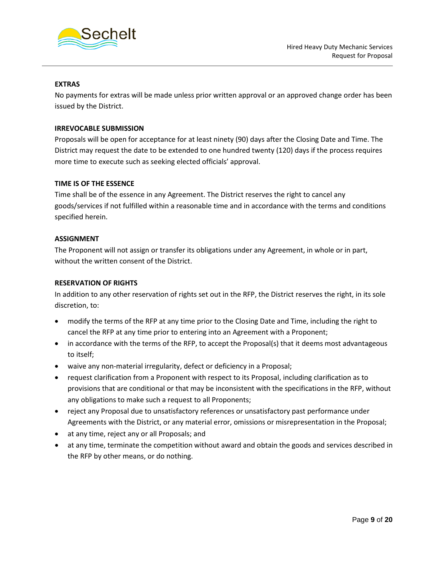

#### **EXTRAS**

No payments for extras will be made unless prior written approval or an approved change order has been issued by the District.

#### **IRREVOCABLE SUBMISSION**

Proposals will be open for acceptance for at least ninety (90) days after the Closing Date and Time. The District may request the date to be extended to one hundred twenty (120) days if the process requires more time to execute such as seeking elected officials' approval.

#### **TIME IS OF THE ESSENCE**

Time shall be of the essence in any Agreement. The District reserves the right to cancel any goods/services if not fulfilled within a reasonable time and in accordance with the terms and conditions specified herein.

#### **ASSIGNMENT**

The Proponent will not assign or transfer its obligations under any Agreement, in whole or in part, without the written consent of the District.

#### **RESERVATION OF RIGHTS**

In addition to any other reservation of rights set out in the RFP, the District reserves the right, in its sole discretion, to:

- modify the terms of the RFP at any time prior to the Closing Date and Time, including the right to cancel the RFP at any time prior to entering into an Agreement with a Proponent;
- in accordance with the terms of the RFP, to accept the Proposal(s) that it deems most advantageous to itself;
- waive any non-material irregularity, defect or deficiency in a Proposal;
- request clarification from a Proponent with respect to its Proposal, including clarification as to provisions that are conditional or that may be inconsistent with the specifications in the RFP, without any obligations to make such a request to all Proponents;
- reject any Proposal due to unsatisfactory references or unsatisfactory past performance under Agreements with the District, or any material error, omissions or misrepresentation in the Proposal;
- at any time, reject any or all Proposals; and
- at any time, terminate the competition without award and obtain the goods and services described in the RFP by other means, or do nothing.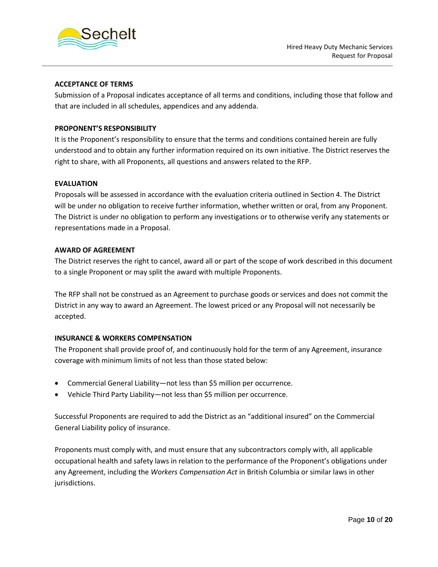



#### **ACCEPTANCE OF TERMS**

Submission of a Proposal indicates acceptance of all terms and conditions, including those that follow and that are included in all schedules, appendices and any addenda.

#### **PROPONENT'S RESPONSIBILITY**

It is the Proponent's responsibility to ensure that the terms and conditions contained herein are fully understood and to obtain any further information required on its own initiative. The District reserves the right to share, with all Proponents, all questions and answers related to the RFP.

#### **EVALUATION**

Proposals will be assessed in accordance with the evaluation criteria outlined in Section 4. The District will be under no obligation to receive further information, whether written or oral, from any Proponent. The District is under no obligation to perform any investigations or to otherwise verify any statements or representations made in a Proposal.

#### **AWARD OF AGREEMENT**

The District reserves the right to cancel, award all or part of the scope of work described in this document to a single Proponent or may split the award with multiple Proponents.

The RFP shall not be construed as an Agreement to purchase goods or services and does not commit the District in any way to award an Agreement. The lowest priced or any Proposal will not necessarily be accepted.

#### **INSURANCE & WORKERS COMPENSATION**

The Proponent shall provide proof of, and continuously hold for the term of any Agreement, insurance coverage with minimum limits of not less than those stated below:

- Commercial General Liability—not less than \$5 million per occurrence.
- Vehicle Third Party Liability—not less than \$5 million per occurrence.

Successful Proponents are required to add the District as an "additional insured" on the Commercial General Liability policy of insurance.

Proponents must comply with, and must ensure that any subcontractors comply with, all applicable occupational health and safety laws in relation to the performance of the Proponent's obligations under any Agreement, including the *Workers Compensation Act* in British Columbia or similar laws in other jurisdictions.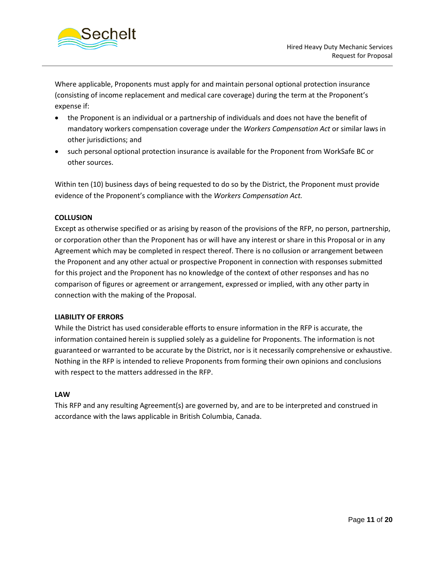

Where applicable, Proponents must apply for and maintain personal optional protection insurance (consisting of income replacement and medical care coverage) during the term at the Proponent's expense if:

- the Proponent is an individual or a partnership of individuals and does not have the benefit of mandatory workers compensation coverage under the *Workers Compensation Act* or similar laws in other jurisdictions; and
- such personal optional protection insurance is available for the Proponent from WorkSafe BC or other sources.

Within ten (10) business days of being requested to do so by the District, the Proponent must provide evidence of the Proponent's compliance with the *Workers Compensation Act.*

#### **COLLUSION**

Except as otherwise specified or as arising by reason of the provisions of the RFP, no person, partnership, or corporation other than the Proponent has or will have any interest or share in this Proposal or in any Agreement which may be completed in respect thereof. There is no collusion or arrangement between the Proponent and any other actual or prospective Proponent in connection with responses submitted for this project and the Proponent has no knowledge of the context of other responses and has no comparison of figures or agreement or arrangement, expressed or implied, with any other party in connection with the making of the Proposal.

#### **LIABILITY OF ERRORS**

While the District has used considerable efforts to ensure information in the RFP is accurate, the information contained herein is supplied solely as a guideline for Proponents. The information is not guaranteed or warranted to be accurate by the District, nor is it necessarily comprehensive or exhaustive. Nothing in the RFP is intended to relieve Proponents from forming their own opinions and conclusions with respect to the matters addressed in the RFP.

#### **LAW**

This RFP and any resulting Agreement(s) are governed by, and are to be interpreted and construed in accordance with the laws applicable in British Columbia, Canada.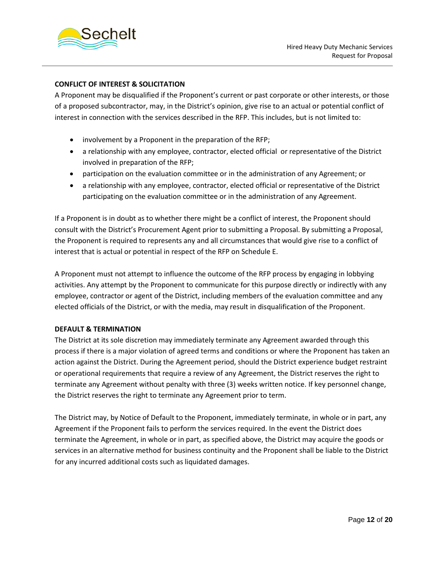

### **CONFLICT OF INTEREST & SOLICITATION**

A Proponent may be disqualified if the Proponent's current or past corporate or other interests, or those of a proposed subcontractor, may, in the District's opinion, give rise to an actual or potential conflict of interest in connection with the services described in the RFP. This includes, but is not limited to:

- involvement by a Proponent in the preparation of the RFP;
- a relationship with any employee, contractor, elected official or representative of the District involved in preparation of the RFP;
- participation on the evaluation committee or in the administration of any Agreement; or
- a relationship with any employee, contractor, elected official or representative of the District participating on the evaluation committee or in the administration of any Agreement.

If a Proponent is in doubt as to whether there might be a conflict of interest, the Proponent should consult with the District's Procurement Agent prior to submitting a Proposal. By submitting a Proposal, the Proponent is required to represents any and all circumstances that would give rise to a conflict of interest that is actual or potential in respect of the RFP on Schedule E.

A Proponent must not attempt to influence the outcome of the RFP process by engaging in lobbying activities. Any attempt by the Proponent to communicate for this purpose directly or indirectly with any employee, contractor or agent of the District, including members of the evaluation committee and any elected officials of the District, or with the media, may result in disqualification of the Proponent.

#### **DEFAULT & TERMINATION**

The District at its sole discretion may immediately terminate any Agreement awarded through this process if there is a major violation of agreed terms and conditions or where the Proponent has taken an action against the District. During the Agreement period, should the District experience budget restraint or operational requirements that require a review of any Agreement, the District reserves the right to terminate any Agreement without penalty with three (3) weeks written notice. If key personnel change, the District reserves the right to terminate any Agreement prior to term.

The District may, by Notice of Default to the Proponent, immediately terminate, in whole or in part, any Agreement if the Proponent fails to perform the services required. In the event the District does terminate the Agreement, in whole or in part, as specified above, the District may acquire the goods or services in an alternative method for business continuity and the Proponent shall be liable to the District for any incurred additional costs such as liquidated damages.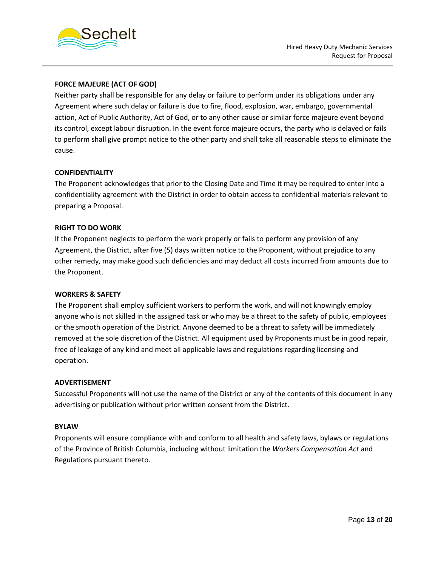

#### **FORCE MAJEURE (ACT OF GOD)**

Neither party shall be responsible for any delay or failure to perform under its obligations under any Agreement where such delay or failure is due to fire, flood, explosion, war, embargo, governmental action, Act of Public Authority, Act of God, or to any other cause or similar force majeure event beyond its control, except labour disruption. In the event force majeure occurs, the party who is delayed or fails to perform shall give prompt notice to the other party and shall take all reasonable steps to eliminate the cause.

#### **CONFIDENTIALITY**

The Proponent acknowledges that prior to the Closing Date and Time it may be required to enter into a confidentiality agreement with the District in order to obtain access to confidential materials relevant to preparing a Proposal.

#### **RIGHT TO DO WORK**

If the Proponent neglects to perform the work properly or fails to perform any provision of any Agreement, the District, after five (5) days written notice to the Proponent, without prejudice to any other remedy, may make good such deficiencies and may deduct all costs incurred from amounts due to the Proponent.

#### **WORKERS & SAFETY**

The Proponent shall employ sufficient workers to perform the work, and will not knowingly employ anyone who is not skilled in the assigned task or who may be a threat to the safety of public, employees or the smooth operation of the District. Anyone deemed to be a threat to safety will be immediately removed at the sole discretion of the District. All equipment used by Proponents must be in good repair, free of leakage of any kind and meet all applicable laws and regulations regarding licensing and operation.

#### **ADVERTISEMENT**

Successful Proponents will not use the name of the District or any of the contents of this document in any advertising or publication without prior written consent from the District.

#### **BYLAW**

Proponents will ensure compliance with and conform to all health and safety laws, bylaws or regulations of the Province of British Columbia, including without limitation the *Workers Compensation Act* and Regulations pursuant thereto.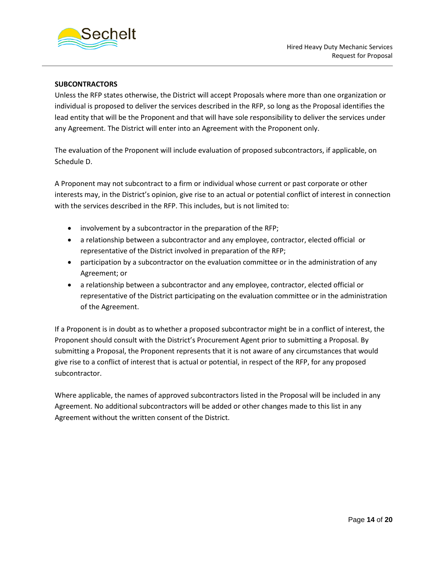

#### **SUBCONTRACTORS**

Unless the RFP states otherwise, the District will accept Proposals where more than one organization or individual is proposed to deliver the services described in the RFP, so long as the Proposal identifies the lead entity that will be the Proponent and that will have sole responsibility to deliver the services under any Agreement. The District will enter into an Agreement with the Proponent only.

The evaluation of the Proponent will include evaluation of proposed subcontractors, if applicable, on Schedule D.

A Proponent may not subcontract to a firm or individual whose current or past corporate or other interests may, in the District's opinion, give rise to an actual or potential conflict of interest in connection with the services described in the RFP. This includes, but is not limited to:

- involvement by a subcontractor in the preparation of the RFP;
- a relationship between a subcontractor and any employee, contractor, elected official or representative of the District involved in preparation of the RFP;
- participation by a subcontractor on the evaluation committee or in the administration of any Agreement; or
- a relationship between a subcontractor and any employee, contractor, elected official or representative of the District participating on the evaluation committee or in the administration of the Agreement.

If a Proponent is in doubt as to whether a proposed subcontractor might be in a conflict of interest, the Proponent should consult with the District's Procurement Agent prior to submitting a Proposal. By submitting a Proposal, the Proponent represents that it is not aware of any circumstances that would give rise to a conflict of interest that is actual or potential, in respect of the RFP, for any proposed subcontractor.

Where applicable, the names of approved subcontractors listed in the Proposal will be included in any Agreement. No additional subcontractors will be added or other changes made to this list in any Agreement without the written consent of the District.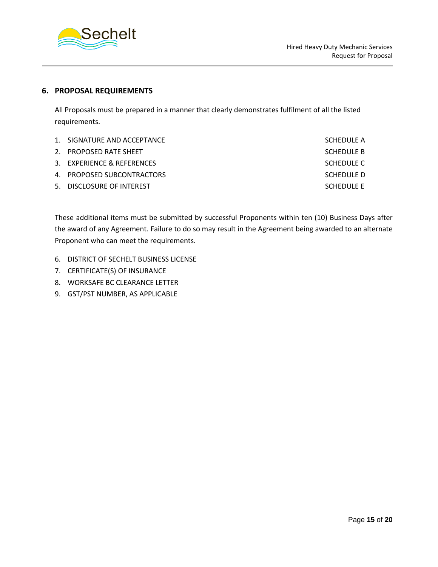

#### **6. PROPOSAL REQUIREMENTS**

All Proposals must be prepared in a manner that clearly demonstrates fulfilment of all the listed requirements.

| 1. SIGNATURE AND ACCEPTANCE | SCHEDULE A |
|-----------------------------|------------|
| 2. PROPOSED RATE SHEET      | SCHEDULE B |
| 3. EXPERIENCE & REFERENCES  | SCHEDULE C |
| 4. PROPOSED SUBCONTRACTORS  | SCHEDULE D |
| 5. DISCLOSURE OF INTEREST   | SCHEDULE E |

These additional items must be submitted by successful Proponents within ten (10) Business Days after the award of any Agreement. Failure to do so may result in the Agreement being awarded to an alternate Proponent who can meet the requirements.

- 6. DISTRICT OF SECHELT BUSINESS LICENSE
- 7. CERTIFICATE(S) OF INSURANCE
- 8. WORKSAFE BC CLEARANCE LETTER
- 9. GST/PST NUMBER, AS APPLICABLE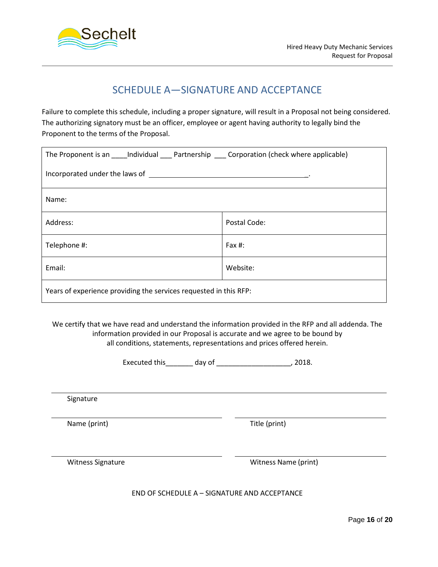

## SCHEDULE A—SIGNATURE AND ACCEPTANCE

Failure to complete this schedule, including a proper signature, will result in a Proposal not being considered. The authorizing signatory must be an officer, employee or agent having authority to legally bind the Proponent to the terms of the Proposal.

| The Proponent is an _____Individual _____ Partnership _____ Corporation (check where applicable) |              |  |  |  |
|--------------------------------------------------------------------------------------------------|--------------|--|--|--|
|                                                                                                  |              |  |  |  |
| Name:                                                                                            |              |  |  |  |
| Address:                                                                                         | Postal Code: |  |  |  |
| Telephone #:                                                                                     | Fax $#$ :    |  |  |  |
| Email:                                                                                           | Website:     |  |  |  |
| Years of experience providing the services requested in this RFP:                                |              |  |  |  |

We certify that we have read and understand the information provided in the RFP and all addenda. The information provided in our Proposal is accurate and we agree to be bound by all conditions, statements, representations and prices offered herein.

Executed this\_\_\_\_\_\_\_ day of \_\_\_\_\_\_\_\_\_\_\_\_\_\_\_\_\_\_\_, 2018.

Signature

Name (print) Title (print)

Witness Signature Witness Name (print)

END OF SCHEDULE A – SIGNATURE AND ACCEPTANCE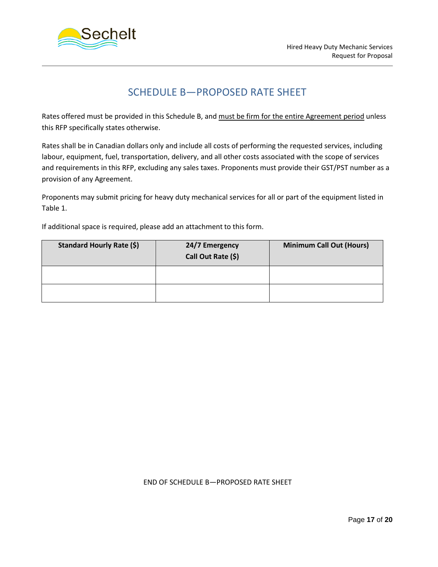

## SCHEDULE B—PROPOSED RATE SHEET

Rates offered must be provided in this Schedule B, and must be firm for the entire Agreement period unless this RFP specifically states otherwise.

Rates shall be in Canadian dollars only and include all costs of performing the requested services, including labour, equipment, fuel, transportation, delivery, and all other costs associated with the scope of services and requirements in this RFP, excluding any sales taxes. Proponents must provide their GST/PST number as a provision of any Agreement.

Proponents may submit pricing for heavy duty mechanical services for all or part of the equipment listed in Table 1.

If additional space is required, please add an attachment to this form.

| <b>Standard Hourly Rate (\$)</b> | 24/7 Emergency<br>Call Out Rate (\$) | <b>Minimum Call Out (Hours)</b> |
|----------------------------------|--------------------------------------|---------------------------------|
|                                  |                                      |                                 |
|                                  |                                      |                                 |

#### END OF SCHEDULE B—PROPOSED RATE SHEET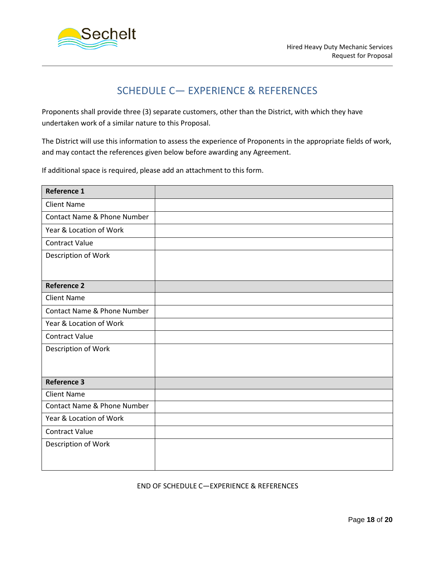

## SCHEDULE C— EXPERIENCE & REFERENCES

Proponents shall provide three (3) separate customers, other than the District, with which they have undertaken work of a similar nature to this Proposal.

The District will use this information to assess the experience of Proponents in the appropriate fields of work, and may contact the references given below before awarding any Agreement.

If additional space is required, please add an attachment to this form.

| <b>Reference 1</b>          |  |
|-----------------------------|--|
| <b>Client Name</b>          |  |
| Contact Name & Phone Number |  |
| Year & Location of Work     |  |
| <b>Contract Value</b>       |  |
| Description of Work         |  |
| <b>Reference 2</b>          |  |
| <b>Client Name</b>          |  |
| Contact Name & Phone Number |  |
| Year & Location of Work     |  |
| <b>Contract Value</b>       |  |
| Description of Work         |  |
| <b>Reference 3</b>          |  |
| <b>Client Name</b>          |  |
| Contact Name & Phone Number |  |
| Year & Location of Work     |  |
| <b>Contract Value</b>       |  |
| Description of Work         |  |

END OF SCHEDULE C—EXPERIENCE & REFERENCES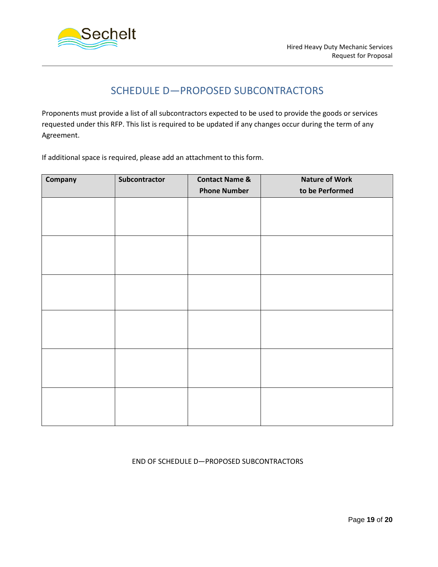

## SCHEDULE D—PROPOSED SUBCONTRACTORS

Proponents must provide a list of all subcontractors expected to be used to provide the goods or services requested under this RFP. This list is required to be updated if any changes occur during the term of any Agreement.

If additional space is required, please add an attachment to this form.

| Company | Subcontractor | <b>Contact Name &amp;</b> | <b>Nature of Work</b> |
|---------|---------------|---------------------------|-----------------------|
|         |               | <b>Phone Number</b>       | to be Performed       |
|         |               |                           |                       |
|         |               |                           |                       |
|         |               |                           |                       |
|         |               |                           |                       |
|         |               |                           |                       |
|         |               |                           |                       |
|         |               |                           |                       |
|         |               |                           |                       |
|         |               |                           |                       |
|         |               |                           |                       |
|         |               |                           |                       |
|         |               |                           |                       |
|         |               |                           |                       |
|         |               |                           |                       |
|         |               |                           |                       |
|         |               |                           |                       |
|         |               |                           |                       |
|         |               |                           |                       |

#### END OF SCHEDULE D—PROPOSED SUBCONTRACTORS